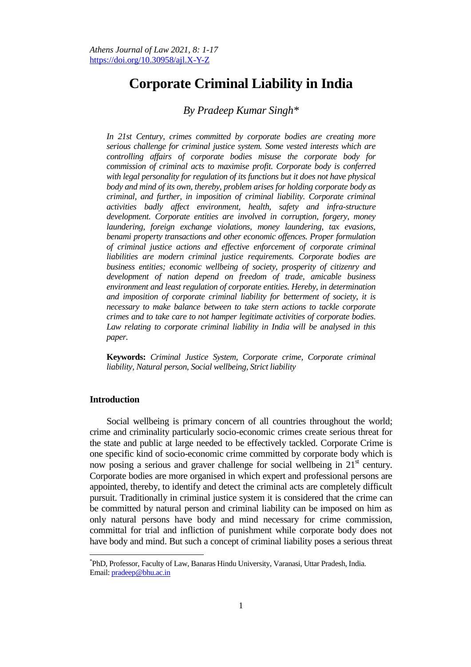# **Corporate Criminal Liability in India**

# *By Pradeep Kumar Singh\**

*In 21st Century, crimes committed by corporate bodies are creating more serious challenge for criminal justice system. Some vested interests which are controlling affairs of corporate bodies misuse the corporate body for commission of criminal acts to maximise profit. Corporate body is conferred with legal personality for regulation of its functions but it does not have physical body and mind of its own, thereby, problem arises for holding corporate body as criminal, and further, in imposition of criminal liability. Corporate criminal activities badly affect environment, health, safety and infra-structure development. Corporate entities are involved in corruption, forgery, money laundering, foreign exchange violations, money laundering, tax evasions, benami property transactions and other economic offences. Proper formulation of criminal justice actions and effective enforcement of corporate criminal liabilities are modern criminal justice requirements. Corporate bodies are business entities; economic wellbeing of society, prosperity of citizenry and development of nation depend on freedom of trade, amicable business environment and least regulation of corporate entities. Hereby, in determination and imposition of corporate criminal liability for betterment of society, it is necessary to make balance between to take stern actions to tackle corporate crimes and to take care to not hamper legitimate activities of corporate bodies. Law relating to corporate criminal liability in India will be analysed in this paper.* 

**Keywords:** *Criminal Justice System, Corporate crime, Corporate criminal liability, Natural person, Social wellbeing, Strict liability*

#### **Introduction**

 $\overline{\phantom{a}}$ 

Social wellbeing is primary concern of all countries throughout the world; crime and criminality particularly socio-economic crimes create serious threat for the state and public at large needed to be effectively tackled. Corporate Crime is one specific kind of socio-economic crime committed by corporate body which is now posing a serious and graver challenge for social wellbeing in  $21<sup>st</sup>$  century. Corporate bodies are more organised in which expert and professional persons are appointed, thereby, to identify and detect the criminal acts are completely difficult pursuit. Traditionally in criminal justice system it is considered that the crime can be committed by natural person and criminal liability can be imposed on him as only natural persons have body and mind necessary for crime commission, committal for trial and infliction of punishment while corporate body does not have body and mind. But such a concept of criminal liability poses a serious threat

<sup>\*</sup> PhD, Professor, Faculty of Law, Banaras Hindu University, Varanasi, Uttar Pradesh, India. Email: [pradeep@bhu.ac.in](mailto:pradeep@bhu.ac.in)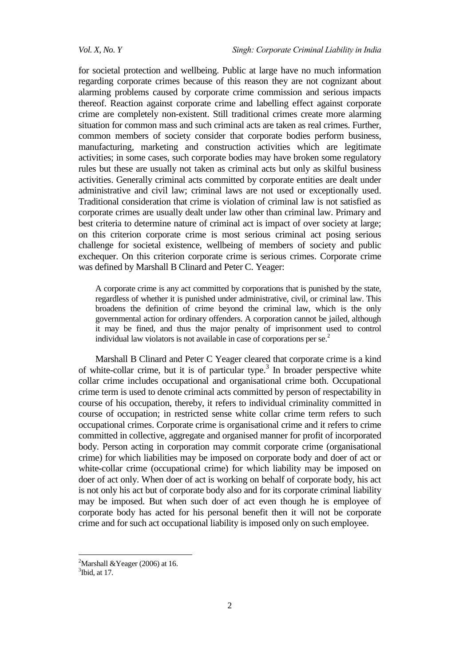for societal protection and wellbeing. Public at large have no much information regarding corporate crimes because of this reason they are not cognizant about alarming problems caused by corporate crime commission and serious impacts thereof. Reaction against corporate crime and labelling effect against corporate crime are completely non-existent. Still traditional crimes create more alarming situation for common mass and such criminal acts are taken as real crimes. Further, common members of society consider that corporate bodies perform business, manufacturing, marketing and construction activities which are legitimate activities; in some cases, such corporate bodies may have broken some regulatory rules but these are usually not taken as criminal acts but only as skilful business activities. Generally criminal acts committed by corporate entities are dealt under administrative and civil law; criminal laws are not used or exceptionally used. Traditional consideration that crime is violation of criminal law is not satisfied as corporate crimes are usually dealt under law other than criminal law. Primary and best criteria to determine nature of criminal act is impact of over society at large; on this criterion corporate crime is most serious criminal act posing serious challenge for societal existence, wellbeing of members of society and public exchequer. On this criterion corporate crime is serious crimes. Corporate crime was defined by Marshall B Clinard and Peter C. Yeager:

A corporate crime is any act committed by corporations that is punished by the state, regardless of whether it is punished under administrative, civil, or criminal law. This broadens the definition of crime beyond the criminal law, which is the only governmental action for ordinary offenders. A corporation cannot be jailed, although it may be fined, and thus the major penalty of imprisonment used to control individual law violators is not available in case of corporations per se.<sup>2</sup>

Marshall B Clinard and Peter C Yeager cleared that corporate crime is a kind of white-collar crime, but it is of particular type.<sup>3</sup> In broader perspective white collar crime includes occupational and organisational crime both. Occupational crime term is used to denote criminal acts committed by person of respectability in course of his occupation, thereby, it refers to individual criminality committed in course of occupation; in restricted sense white collar crime term refers to such occupational crimes. Corporate crime is organisational crime and it refers to crime committed in collective, aggregate and organised manner for profit of incorporated body. Person acting in corporation may commit corporate crime (organisational crime) for which liabilities may be imposed on corporate body and doer of act or white-collar crime (occupational crime) for which liability may be imposed on doer of act only. When doer of act is working on behalf of corporate body, his act is not only his act but of corporate body also and for its corporate criminal liability may be imposed. But when such doer of act even though he is employee of corporate body has acted for his personal benefit then it will not be corporate crime and for such act occupational liability is imposed only on such employee.

<sup>&</sup>lt;sup>2</sup>Marshall & Yeager (2006) at 16.

 $3$ Ibid, at 17.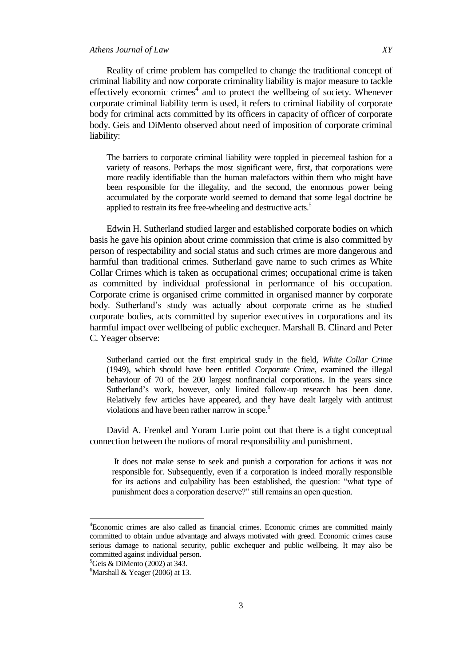# *Athens Journal of Law XY*

Reality of crime problem has compelled to change the traditional concept of criminal liability and now corporate criminality liability is major measure to tackle effectively economic crimes<sup>4</sup> and to protect the wellbeing of society. Whenever corporate criminal liability term is used, it refers to criminal liability of corporate body for criminal acts committed by its officers in capacity of officer of corporate body. Geis and DiMento observed about need of imposition of corporate criminal liability:

The barriers to corporate criminal liability were toppled in piecemeal fashion for a variety of reasons. Perhaps the most significant were, first, that corporations were more readily identifiable than the human malefactors within them who might have been responsible for the illegality, and the second, the enormous power being accumulated by the corporate world seemed to demand that some legal doctrine be applied to restrain its free free-wheeling and destructive acts.<sup>5</sup>

Edwin H. Sutherland studied larger and established corporate bodies on which basis he gave his opinion about crime commission that crime is also committed by person of respectability and social status and such crimes are more dangerous and harmful than traditional crimes. Sutherland gave name to such crimes as White Collar Crimes which is taken as occupational crimes; occupational crime is taken as committed by individual professional in performance of his occupation. Corporate crime is organised crime committed in organised manner by corporate body. Sutherland"s study was actually about corporate crime as he studied corporate bodies, acts committed by superior executives in corporations and its harmful impact over wellbeing of public exchequer. Marshall B. Clinard and Peter C. Yeager observe:

Sutherland carried out the first empirical study in the field, *White Collar Crime* (1949), which should have been entitled *Corporate Crime*, examined the illegal behaviour of 70 of the 200 largest nonfinancial corporations. In the years since Sutherland"s work, however, only limited follow-up research has been done. Relatively few articles have appeared, and they have dealt largely with antitrust violations and have been rather narrow in scope.<sup>6</sup>

David A. Frenkel and Yoram Lurie point out that there is a tight conceptual connection between the notions of moral responsibility and punishment.

It does not make sense to seek and punish a corporation for actions it was not responsible for. Subsequently, even if a corporation is indeed morally responsible for its actions and culpability has been established, the question: "what type of punishment does a corporation deserve?" still remains an open question.

<sup>4</sup>Economic crimes are also called as financial crimes. Economic crimes are committed mainly committed to obtain undue advantage and always motivated with greed. Economic crimes cause serious damage to national security, public exchequer and public wellbeing. It may also be committed against individual person.

 ${}^5$ Geis & DiMento (2002) at 343.

 $6$ Marshall & Yeager (2006) at 13.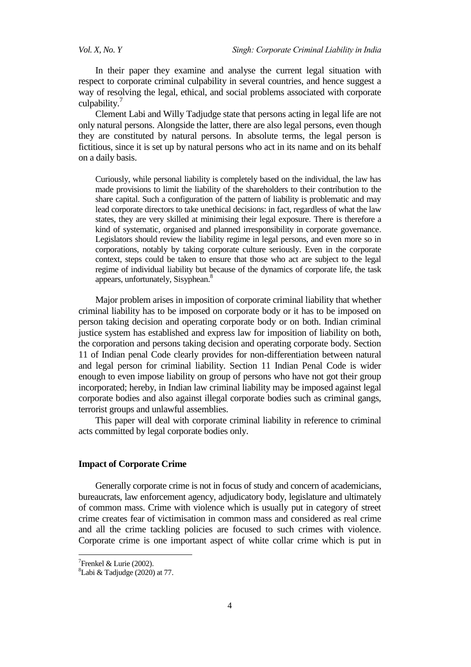In their paper they examine and analyse the current legal situation with respect to corporate criminal culpability in several countries, and hence suggest a way of resolving the legal, ethical, and social problems associated with corporate culpability.

Clement Labi and Willy Tadjudge state that persons acting in legal life are not only natural persons. Alongside the latter, there are also legal persons, even though they are constituted by natural persons. In absolute terms, the legal person is fictitious, since it is set up by natural persons who act in its name and on its behalf on a daily basis.

Curiously, while personal liability is completely based on the individual, the law has made provisions to limit the liability of the shareholders to their contribution to the share capital. Such a configuration of the pattern of liability is problematic and may lead corporate directors to take unethical decisions: in fact, regardless of what the law states, they are very skilled at minimising their legal exposure. There is therefore a kind of systematic, organised and planned irresponsibility in corporate governance. Legislators should review the liability regime in legal persons, and even more so in corporations, notably by taking corporate culture seriously. Even in the corporate context, steps could be taken to ensure that those who act are subject to the legal regime of individual liability but because of the dynamics of corporate life, the task appears, unfortunately, Sisyphean.<sup>8</sup>

Major problem arises in imposition of corporate criminal liability that whether criminal liability has to be imposed on corporate body or it has to be imposed on person taking decision and operating corporate body or on both. Indian criminal justice system has established and express law for imposition of liability on both, the corporation and persons taking decision and operating corporate body. Section 11 of Indian penal Code clearly provides for non-differentiation between natural and legal person for criminal liability. Section 11 Indian Penal Code is wider enough to even impose liability on group of persons who have not got their group incorporated; hereby, in Indian law criminal liability may be imposed against legal corporate bodies and also against illegal corporate bodies such as criminal gangs, terrorist groups and unlawful assemblies.

This paper will deal with corporate criminal liability in reference to criminal acts committed by legal corporate bodies only.

# **Impact of Corporate Crime**

Generally corporate crime is not in focus of study and concern of academicians, bureaucrats, law enforcement agency, adjudicatory body, legislature and ultimately of common mass. Crime with violence which is usually put in category of street crime creates fear of victimisation in common mass and considered as real crime and all the crime tackling policies are focused to such crimes with violence. Corporate crime is one important aspect of white collar crime which is put in

 $7$ Frenkel & Lurie (2002).

 ${}^{8}$ Labi & Tadjudge (2020) at 77.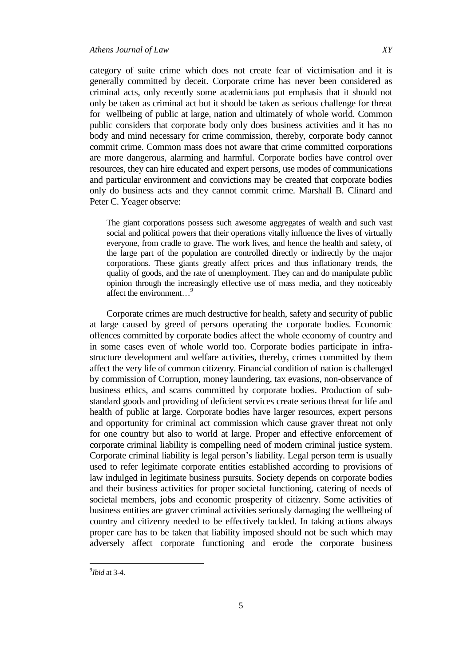category of suite crime which does not create fear of victimisation and it is generally committed by deceit. Corporate crime has never been considered as criminal acts, only recently some academicians put emphasis that it should not only be taken as criminal act but it should be taken as serious challenge for threat

for wellbeing of public at large, nation and ultimately of whole world. Common public considers that corporate body only does business activities and it has no body and mind necessary for crime commission, thereby, corporate body cannot commit crime. Common mass does not aware that crime committed corporations are more dangerous, alarming and harmful. Corporate bodies have control over resources, they can hire educated and expert persons, use modes of communications and particular environment and convictions may be created that corporate bodies only do business acts and they cannot commit crime. Marshall B. Clinard and Peter C. Yeager observe:

The giant corporations possess such awesome aggregates of wealth and such vast social and political powers that their operations vitally influence the lives of virtually everyone, from cradle to grave. The work lives, and hence the health and safety, of the large part of the population are controlled directly or indirectly by the major corporations. These giants greatly affect prices and thus inflationary trends, the quality of goods, and the rate of unemployment. They can and do manipulate public opinion through the increasingly effective use of mass media, and they noticeably affect the environment...<sup>9</sup>

Corporate crimes are much destructive for health, safety and security of public at large caused by greed of persons operating the corporate bodies. Economic offences committed by corporate bodies affect the whole economy of country and in some cases even of whole world too. Corporate bodies participate in infrastructure development and welfare activities, thereby, crimes committed by them affect the very life of common citizenry. Financial condition of nation is challenged by commission of Corruption, money laundering, tax evasions, non-observance of business ethics, and scams committed by corporate bodies. Production of substandard goods and providing of deficient services create serious threat for life and health of public at large. Corporate bodies have larger resources, expert persons and opportunity for criminal act commission which cause graver threat not only for one country but also to world at large. Proper and effective enforcement of corporate criminal liability is compelling need of modern criminal justice system. Corporate criminal liability is legal person"s liability. Legal person term is usually used to refer legitimate corporate entities established according to provisions of law indulged in legitimate business pursuits. Society depends on corporate bodies and their business activities for proper societal functioning, catering of needs of societal members, jobs and economic prosperity of citizenry. Some activities of business entities are graver criminal activities seriously damaging the wellbeing of country and citizenry needed to be effectively tackled. In taking actions always proper care has to be taken that liability imposed should not be such which may adversely affect corporate functioning and erode the corporate business

<sup>9</sup> *Ibid* at 3-4.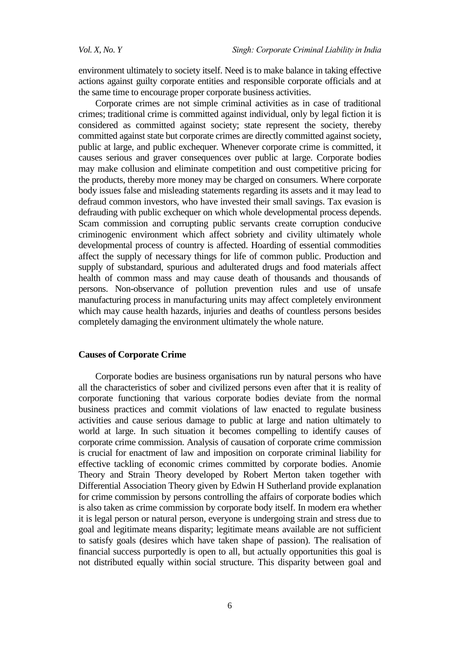environment ultimately to society itself. Need is to make balance in taking effective actions against guilty corporate entities and responsible corporate officials and at the same time to encourage proper corporate business activities.

Corporate crimes are not simple criminal activities as in case of traditional crimes; traditional crime is committed against individual, only by legal fiction it is considered as committed against society; state represent the society, thereby committed against state but corporate crimes are directly committed against society, public at large, and public exchequer. Whenever corporate crime is committed, it causes serious and graver consequences over public at large. Corporate bodies may make collusion and eliminate competition and oust competitive pricing for the products, thereby more money may be charged on consumers. Where corporate body issues false and misleading statements regarding its assets and it may lead to defraud common investors, who have invested their small savings. Tax evasion is defrauding with public exchequer on which whole developmental process depends. Scam commission and corrupting public servants create corruption conducive criminogenic environment which affect sobriety and civility ultimately whole developmental process of country is affected. Hoarding of essential commodities affect the supply of necessary things for life of common public. Production and supply of substandard, spurious and adulterated drugs and food materials affect health of common mass and may cause death of thousands and thousands of persons. Non-observance of pollution prevention rules and use of unsafe manufacturing process in manufacturing units may affect completely environment which may cause health hazards, injuries and deaths of countless persons besides completely damaging the environment ultimately the whole nature.

# **Causes of Corporate Crime**

Corporate bodies are business organisations run by natural persons who have all the characteristics of sober and civilized persons even after that it is reality of corporate functioning that various corporate bodies deviate from the normal business practices and commit violations of law enacted to regulate business activities and cause serious damage to public at large and nation ultimately to world at large. In such situation it becomes compelling to identify causes of corporate crime commission. Analysis of causation of corporate crime commission is crucial for enactment of law and imposition on corporate criminal liability for effective tackling of economic crimes committed by corporate bodies. Anomie Theory and Strain Theory developed by Robert Merton taken together with Differential Association Theory given by Edwin H Sutherland provide explanation for crime commission by persons controlling the affairs of corporate bodies which is also taken as crime commission by corporate body itself. In modern era whether it is legal person or natural person, everyone is undergoing strain and stress due to goal and legitimate means disparity; legitimate means available are not sufficient to satisfy goals (desires which have taken shape of passion). The realisation of financial success purportedly is open to all, but actually opportunities this goal is not distributed equally within social structure. This disparity between goal and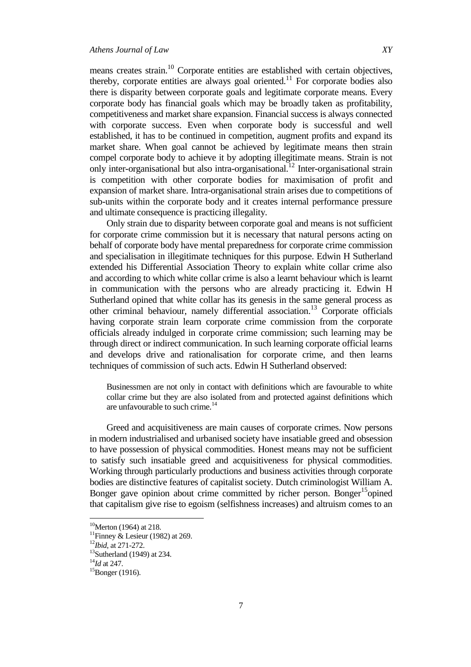means creates strain.<sup>10</sup> Corporate entities are established with certain objectives, thereby, corporate entities are always goal oriented.<sup>11</sup> For corporate bodies also there is disparity between corporate goals and legitimate corporate means. Every corporate body has financial goals which may be broadly taken as profitability, competitiveness and market share expansion. Financial success is always connected with corporate success. Even when corporate body is successful and well established, it has to be continued in competition, augment profits and expand its market share. When goal cannot be achieved by legitimate means then strain compel corporate body to achieve it by adopting illegitimate means. Strain is not only inter-organisational but also intra-organisational.<sup>12</sup> Inter-organisational strain is competition with other corporate bodies for maximisation of profit and expansion of market share. Intra-organisational strain arises due to competitions of sub-units within the corporate body and it creates internal performance pressure and ultimate consequence is practicing illegality.

Only strain due to disparity between corporate goal and means is not sufficient for corporate crime commission but it is necessary that natural persons acting on behalf of corporate body have mental preparedness for corporate crime commission and specialisation in illegitimate techniques for this purpose. Edwin H Sutherland extended his Differential Association Theory to explain white collar crime also and according to which white collar crime is also a learnt behaviour which is learnt in communication with the persons who are already practicing it. Edwin H Sutherland opined that white collar has its genesis in the same general process as other criminal behaviour, namely differential association.<sup>13</sup> Corporate officials having corporate strain learn corporate crime commission from the corporate officials already indulged in corporate crime commission; such learning may be through direct or indirect communication. In such learning corporate official learns and develops drive and rationalisation for corporate crime, and then learns techniques of commission of such acts. Edwin H Sutherland observed:

Businessmen are not only in contact with definitions which are favourable to white collar crime but they are also isolated from and protected against definitions which are unfavourable to such crime. $^{14}$ 

Greed and acquisitiveness are main causes of corporate crimes. Now persons in modern industrialised and urbanised society have insatiable greed and obsession to have possession of physical commodities. Honest means may not be sufficient to satisfy such insatiable greed and acquisitiveness for physical commodities. Working through particularly productions and business activities through corporate bodies are distinctive features of capitalist society. Dutch criminologist William A. Bonger gave opinion about crime committed by richer person. Bonger<sup>15</sup>opined that capitalism give rise to egoism (selfishness increases) and altruism comes to an

 $10$ Merton (1964) at 218.

<sup>&</sup>lt;sup>11</sup>Finney & Lesieur (1982) at 269.

<sup>12</sup>*Ibid*, at 271-272.

 $13$ Sutherland (1949) at 234.

<sup>14</sup>*Id* at 247.

 $15Bonger (1916)$ .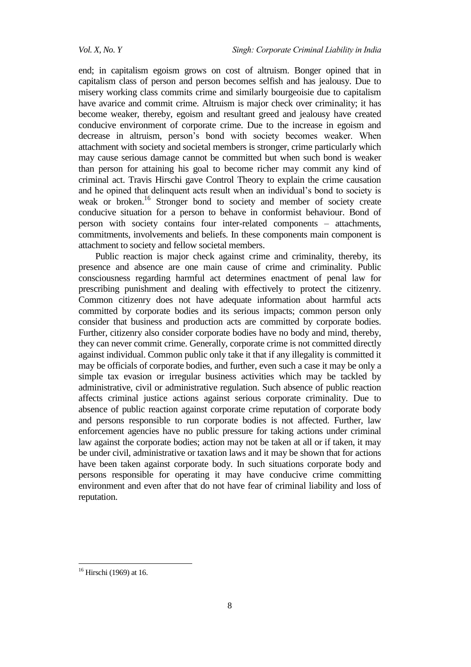end; in capitalism egoism grows on cost of altruism. Bonger opined that in capitalism class of person and person becomes selfish and has jealousy. Due to misery working class commits crime and similarly bourgeoisie due to capitalism have avarice and commit crime. Altruism is major check over criminality; it has become weaker, thereby, egoism and resultant greed and jealousy have created conducive environment of corporate crime. Due to the increase in egoism and decrease in altruism, person"s bond with society becomes weaker. When attachment with society and societal members is stronger, crime particularly which may cause serious damage cannot be committed but when such bond is weaker than person for attaining his goal to become richer may commit any kind of criminal act. Travis Hirschi gave Control Theory to explain the crime causation and he opined that delinquent acts result when an individual"s bond to society is weak or broken.<sup>16</sup> Stronger bond to society and member of society create conducive situation for a person to behave in conformist behaviour. Bond of person with society contains four inter-related components – attachments, commitments, involvements and beliefs. In these components main component is attachment to society and fellow societal members.

Public reaction is major check against crime and criminality, thereby, its presence and absence are one main cause of crime and criminality. Public consciousness regarding harmful act determines enactment of penal law for prescribing punishment and dealing with effectively to protect the citizenry. Common citizenry does not have adequate information about harmful acts committed by corporate bodies and its serious impacts; common person only consider that business and production acts are committed by corporate bodies. Further, citizenry also consider corporate bodies have no body and mind, thereby, they can never commit crime. Generally, corporate crime is not committed directly against individual. Common public only take it that if any illegality is committed it may be officials of corporate bodies, and further, even such a case it may be only a simple tax evasion or irregular business activities which may be tackled by administrative, civil or administrative regulation. Such absence of public reaction affects criminal justice actions against serious corporate criminality. Due to absence of public reaction against corporate crime reputation of corporate body and persons responsible to run corporate bodies is not affected. Further, law enforcement agencies have no public pressure for taking actions under criminal law against the corporate bodies; action may not be taken at all or if taken, it may be under civil, administrative or taxation laws and it may be shown that for actions have been taken against corporate body. In such situations corporate body and persons responsible for operating it may have conducive crime committing environment and even after that do not have fear of criminal liability and loss of reputation.

1

 $16$  Hirschi (1969) at 16.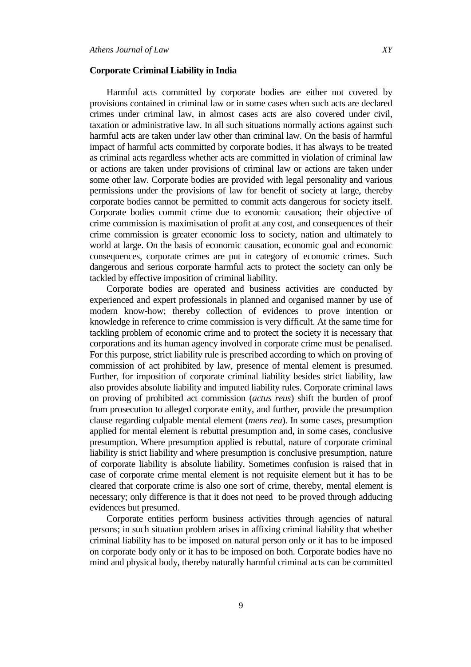#### **Corporate Criminal Liability in India**

Harmful acts committed by corporate bodies are either not covered by provisions contained in criminal law or in some cases when such acts are declared crimes under criminal law, in almost cases acts are also covered under civil, taxation or administrative law. In all such situations normally actions against such harmful acts are taken under law other than criminal law. On the basis of harmful impact of harmful acts committed by corporate bodies, it has always to be treated as criminal acts regardless whether acts are committed in violation of criminal law or actions are taken under provisions of criminal law or actions are taken under some other law. Corporate bodies are provided with legal personality and various permissions under the provisions of law for benefit of society at large, thereby corporate bodies cannot be permitted to commit acts dangerous for society itself. Corporate bodies commit crime due to economic causation; their objective of crime commission is maximisation of profit at any cost, and consequences of their crime commission is greater economic loss to society, nation and ultimately to world at large. On the basis of economic causation, economic goal and economic consequences, corporate crimes are put in category of economic crimes. Such dangerous and serious corporate harmful acts to protect the society can only be tackled by effective imposition of criminal liability.

Corporate bodies are operated and business activities are conducted by experienced and expert professionals in planned and organised manner by use of modern know-how; thereby collection of evidences to prove intention or knowledge in reference to crime commission is very difficult. At the same time for tackling problem of economic crime and to protect the society it is necessary that corporations and its human agency involved in corporate crime must be penalised. For this purpose, strict liability rule is prescribed according to which on proving of commission of act prohibited by law, presence of mental element is presumed. Further, for imposition of corporate criminal liability besides strict liability, law also provides absolute liability and imputed liability rules. Corporate criminal laws on proving of prohibited act commission (*actus reus*) shift the burden of proof from prosecution to alleged corporate entity, and further, provide the presumption clause regarding culpable mental element (*mens rea*). In some cases, presumption applied for mental element is rebuttal presumption and, in some cases, conclusive presumption. Where presumption applied is rebuttal, nature of corporate criminal liability is strict liability and where presumption is conclusive presumption, nature of corporate liability is absolute liability. Sometimes confusion is raised that in case of corporate crime mental element is not requisite element but it has to be cleared that corporate crime is also one sort of crime, thereby, mental element is necessary; only difference is that it does not need to be proved through adducing evidences but presumed.

Corporate entities perform business activities through agencies of natural persons; in such situation problem arises in affixing criminal liability that whether criminal liability has to be imposed on natural person only or it has to be imposed on corporate body only or it has to be imposed on both. Corporate bodies have no mind and physical body, thereby naturally harmful criminal acts can be committed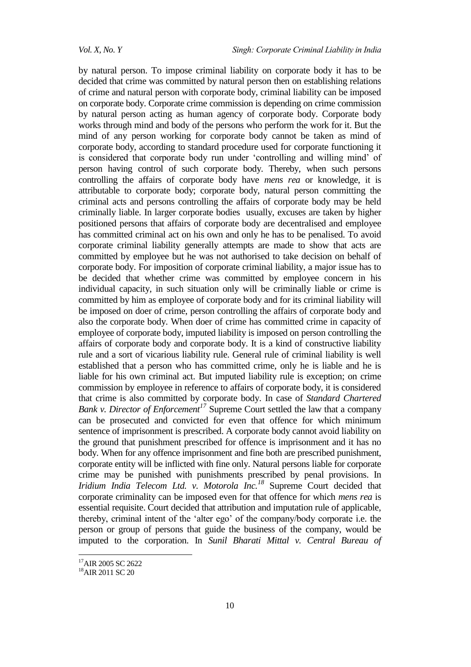by natural person. To impose criminal liability on corporate body it has to be decided that crime was committed by natural person then on establishing relations of crime and natural person with corporate body, criminal liability can be imposed on corporate body. Corporate crime commission is depending on crime commission by natural person acting as human agency of corporate body. Corporate body works through mind and body of the persons who perform the work for it. But the mind of any person working for corporate body cannot be taken as mind of corporate body, according to standard procedure used for corporate functioning it is considered that corporate body run under "controlling and willing mind" of person having control of such corporate body. Thereby, when such persons controlling the affairs of corporate body have *mens rea* or knowledge, it is attributable to corporate body; corporate body, natural person committing the criminal acts and persons controlling the affairs of corporate body may be held criminally liable. In larger corporate bodies usually, excuses are taken by higher positioned persons that affairs of corporate body are decentralised and employee has committed criminal act on his own and only he has to be penalised. To avoid corporate criminal liability generally attempts are made to show that acts are committed by employee but he was not authorised to take decision on behalf of corporate body. For imposition of corporate criminal liability, a major issue has to be decided that whether crime was committed by employee concern in his individual capacity, in such situation only will be criminally liable or crime is committed by him as employee of corporate body and for its criminal liability will be imposed on doer of crime, person controlling the affairs of corporate body and also the corporate body. When doer of crime has committed crime in capacity of employee of corporate body, imputed liability is imposed on person controlling the affairs of corporate body and corporate body. It is a kind of constructive liability rule and a sort of vicarious liability rule. General rule of criminal liability is well established that a person who has committed crime, only he is liable and he is liable for his own criminal act. But imputed liability rule is exception; on crime commission by employee in reference to affairs of corporate body, it is considered that crime is also committed by corporate body. In case of *Standard Chartered Bank v. Director of Enforcement<sup>17</sup>* Supreme Court settled the law that a company can be prosecuted and convicted for even that offence for which minimum sentence of imprisonment is prescribed. A corporate body cannot avoid liability on the ground that punishment prescribed for offence is imprisonment and it has no body. When for any offence imprisonment and fine both are prescribed punishment, corporate entity will be inflicted with fine only. Natural persons liable for corporate crime may be punished with punishments prescribed by penal provisions. In *Iridium India Telecom Ltd. v. Motorola Inc.<sup>18</sup>* Supreme Court decided that corporate criminality can be imposed even for that offence for which *mens rea* is essential requisite. Court decided that attribution and imputation rule of applicable, thereby, criminal intent of the "alter ego" of the company/body corporate i.e. the person or group of persons that guide the business of the company, would be imputed to the corporation. In *Sunil Bharati Mittal v. Central Bureau of* 

<sup>&</sup>lt;sup>17</sup>AIR 2005 SC 2622

<sup>18</sup>AIR 2011 SC 20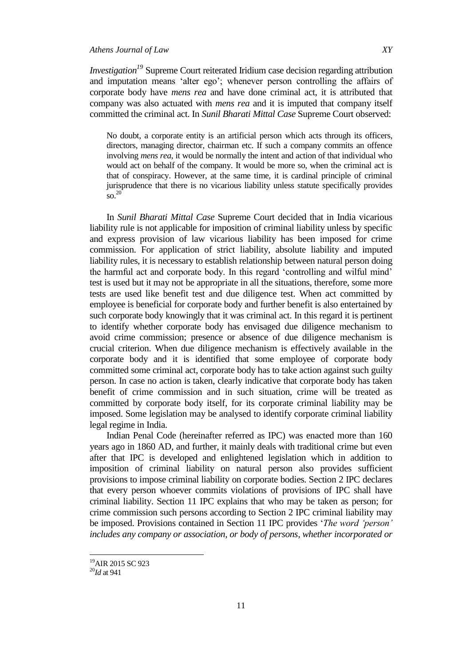# *Athens Journal of Law XY*

*Investigation<sup>19</sup>* Supreme Court reiterated Iridium case decision regarding attribution and imputation means "alter ego"; whenever person controlling the affairs of corporate body have *mens rea* and have done criminal act, it is attributed that company was also actuated with *mens rea* and it is imputed that company itself committed the criminal act. In *Sunil Bharati Mittal Case* Supreme Court observed:

No doubt, a corporate entity is an artificial person which acts through its officers, directors, managing director, chairman etc. If such a company commits an offence involving *mens rea*, it would be normally the intent and action of that individual who would act on behalf of the company. It would be more so, when the criminal act is that of conspiracy. However, at the same time, it is cardinal principle of criminal jurisprudence that there is no vicarious liability unless statute specifically provides  $\rm{so.}^{20}$ 

In *Sunil Bharati Mittal Case* Supreme Court decided that in India vicarious liability rule is not applicable for imposition of criminal liability unless by specific and express provision of law vicarious liability has been imposed for crime commission. For application of strict liability, absolute liability and imputed liability rules, it is necessary to establish relationship between natural person doing the harmful act and corporate body. In this regard "controlling and wilful mind" test is used but it may not be appropriate in all the situations, therefore, some more tests are used like benefit test and due diligence test. When act committed by employee is beneficial for corporate body and further benefit is also entertained by such corporate body knowingly that it was criminal act. In this regard it is pertinent to identify whether corporate body has envisaged due diligence mechanism to avoid crime commission; presence or absence of due diligence mechanism is crucial criterion. When due diligence mechanism is effectively available in the corporate body and it is identified that some employee of corporate body committed some criminal act, corporate body has to take action against such guilty person. In case no action is taken, clearly indicative that corporate body has taken benefit of crime commission and in such situation, crime will be treated as committed by corporate body itself, for its corporate criminal liability may be imposed. Some legislation may be analysed to identify corporate criminal liability legal regime in India.

Indian Penal Code (hereinafter referred as IPC) was enacted more than 160 years ago in 1860 AD, and further, it mainly deals with traditional crime but even after that IPC is developed and enlightened legislation which in addition to imposition of criminal liability on natural person also provides sufficient provisions to impose criminal liability on corporate bodies. Section 2 IPC declares that every person whoever commits violations of provisions of IPC shall have criminal liability. Section 11 IPC explains that who may be taken as person; for crime commission such persons according to Section 2 IPC criminal liability may be imposed. Provisions contained in Section 11 IPC provides "*The word 'person' includes any company or association, or body of persons, whether incorporated or* 

 $\overline{\phantom{a}}$ 

<sup>&</sup>lt;sup>19</sup>AIR 2015 SC 923

<sup>20</sup>*Id* at 941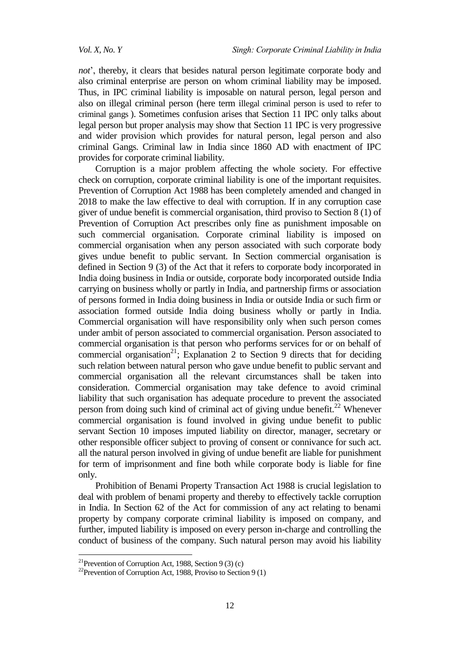*Vol. X, No. Y Singh: Corporate Criminal Liability in India*

*not*", thereby, it clears that besides natural person legitimate corporate body and also criminal enterprise are person on whom criminal liability may be imposed. Thus, in IPC criminal liability is imposable on natural person, legal person and also on illegal criminal person (here term illegal criminal person is used to refer to criminal gangs ). Sometimes confusion arises that Section 11 IPC only talks about legal person but proper analysis may show that Section 11 IPC is very progressive and wider provision which provides for natural person, legal person and also criminal Gangs. Criminal law in India since 1860 AD with enactment of IPC provides for corporate criminal liability.

Corruption is a major problem affecting the whole society. For effective check on corruption, corporate criminal liability is one of the important requisites. Prevention of Corruption Act 1988 has been completely amended and changed in 2018 to make the law effective to deal with corruption. If in any corruption case giver of undue benefit is commercial organisation, third proviso to Section 8 (1) of Prevention of Corruption Act prescribes only fine as punishment imposable on such commercial organisation. Corporate criminal liability is imposed on commercial organisation when any person associated with such corporate body gives undue benefit to public servant. In Section commercial organisation is defined in Section 9 (3) of the Act that it refers to corporate body incorporated in India doing business in India or outside, corporate body incorporated outside India carrying on business wholly or partly in India, and partnership firms or association of persons formed in India doing business in India or outside India or such firm or association formed outside India doing business wholly or partly in India. Commercial organisation will have responsibility only when such person comes under ambit of person associated to commercial organisation. Person associated to commercial organisation is that person who performs services for or on behalf of commercial organisation<sup>21</sup>; Explanation 2 to Section 9 directs that for deciding such relation between natural person who gave undue benefit to public servant and commercial organisation all the relevant circumstances shall be taken into consideration. Commercial organisation may take defence to avoid criminal liability that such organisation has adequate procedure to prevent the associated person from doing such kind of criminal act of giving undue benefit.<sup>22</sup> Whenever commercial organisation is found involved in giving undue benefit to public servant Section 10 imposes imputed liability on director, manager, secretary or other responsible officer subject to proving of consent or connivance for such act. all the natural person involved in giving of undue benefit are liable for punishment for term of imprisonment and fine both while corporate body is liable for fine only.

Prohibition of Benami Property Transaction Act 1988 is crucial legislation to deal with problem of benami property and thereby to effectively tackle corruption in India. In Section 62 of the Act for commission of any act relating to benami property by company corporate criminal liability is imposed on company, and further, imputed liability is imposed on every person in-charge and controlling the conduct of business of the company. Such natural person may avoid his liability

<sup>&</sup>lt;sup>21</sup>Prevention of Corruption Act, 1988, Section 9 (3) (c)

<sup>&</sup>lt;sup>22</sup>Prevention of Corruption Act, 1988, Proviso to Section 9 (1)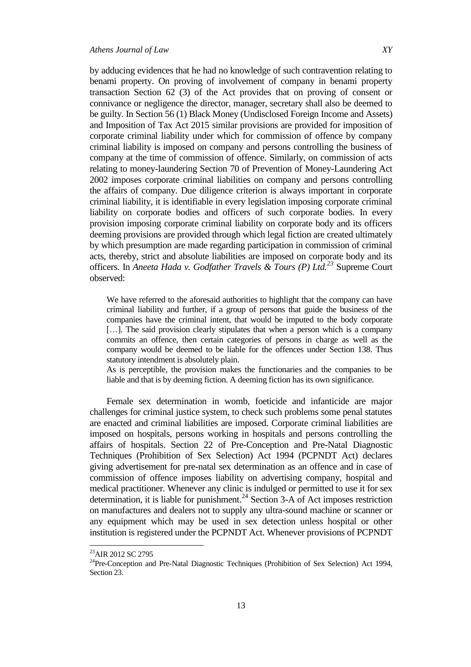by adducing evidences that he had no knowledge of such contravention relating to benami property. On proving of involvement of company in benami property transaction Section 62 (3) of the Act provides that on proving of consent or connivance or negligence the director, manager, secretary shall also be deemed to be guilty. In Section 56 (1) Black Money (Undisclosed Foreign Income and Assets) and Imposition of Tax Act 2015 similar provisions are provided for imposition of corporate criminal liability under which for commission of offence by company criminal liability is imposed on company and persons controlling the business of company at the time of commission of offence. Similarly, on commission of acts relating to money-laundering Section 70 of Prevention of Money-Laundering Act 2002 imposes corporate criminal liabilities on company and persons controlling the affairs of company. Due diligence criterion is always important in corporate criminal liability, it is identifiable in every legislation imposing corporate criminal liability on corporate bodies and officers of such corporate bodies. In every provision imposing corporate criminal liability on corporate body and its officers deeming provisions are provided through which legal fiction are created ultimately by which presumption are made regarding participation in commission of criminal acts, thereby, strict and absolute liabilities are imposed on corporate body and its officers. In *Aneeta Hada v. Godfather Travels & Tours (P) Ltd.<sup>23</sup>* Supreme Court observed:

We have referred to the aforesaid authorities to highlight that the company can have criminal liability and further, if a group of persons that guide the business of the companies have the criminal intent, that would be imputed to the body corporate [...]. The said provision clearly stipulates that when a person which is a company commits an offence, then certain categories of persons in charge as well as the company would be deemed to be liable for the offences under Section 138. Thus statutory intendment is absolutely plain.

As is perceptible, the provision makes the functionaries and the companies to be liable and that is by deeming fiction. A deeming fiction has its own significance.

Female sex determination in womb, foeticide and infanticide are major challenges for criminal justice system, to check such problems some penal statutes are enacted and criminal liabilities are imposed. Corporate criminal liabilities are imposed on hospitals, persons working in hospitals and persons controlling the affairs of hospitals. Section 22 of Pre-Conception and Pre-Natal Diagnostic Techniques (Prohibition of Sex Selection) Act 1994 (PCPNDT Act) declares giving advertisement for pre-natal sex determination as an offence and in case of commission of offence imposes liability on advertising company, hospital and medical practitioner. Whenever any clinic is indulged or permitted to use it for sex determination, it is liable for punishment.<sup>24</sup> Section 3-A of Act imposes restriction on manufactures and dealers not to supply any ultra-sound machine or scanner or any equipment which may be used in sex detection unless hospital or other institution is registered under the PCPNDT Act. Whenever provisions of PCPNDT

<sup>&</sup>lt;sup>23</sup>AIR 2012 SC 2795

<sup>&</sup>lt;sup>24</sup>Pre-Conception and Pre-Natal Diagnostic Techniques (Prohibition of Sex Selection) Act 1994, Section 23.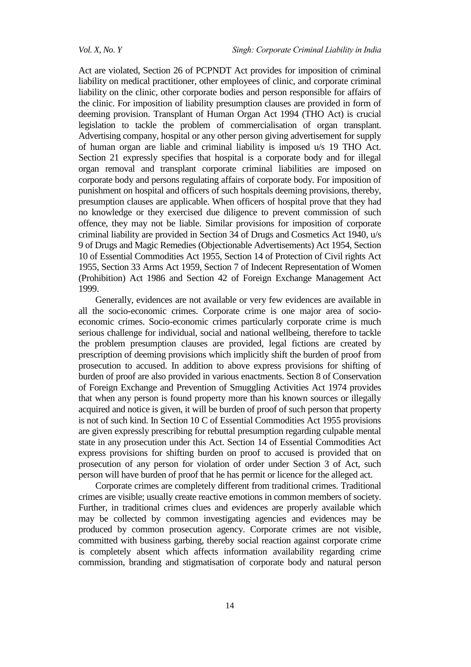Act are violated, Section 26 of PCPNDT Act provides for imposition of criminal liability on medical practitioner, other employees of clinic, and corporate criminal liability on the clinic, other corporate bodies and person responsible for affairs of the clinic. For imposition of liability presumption clauses are provided in form of deeming provision. Transplant of Human Organ Act 1994 (THO Act) is crucial legislation to tackle the problem of commercialisation of organ transplant. Advertising company, hospital or any other person giving advertisement for supply of human organ are liable and criminal liability is imposed u/s 19 THO Act. Section 21 expressly specifies that hospital is a corporate body and for illegal organ removal and transplant corporate criminal liabilities are imposed on corporate body and persons regulating affairs of corporate body. For imposition of punishment on hospital and officers of such hospitals deeming provisions, thereby, presumption clauses are applicable. When officers of hospital prove that they had no knowledge or they exercised due diligence to prevent commission of such offence, they may not be liable. Similar provisions for imposition of corporate criminal liability are provided in Section 34 of Drugs and Cosmetics Act 1940, u/s 9 of Drugs and Magic Remedies (Objectionable Advertisements) Act 1954, Section 10 of Essential Commodities Act 1955, Section 14 of Protection of Civil rights Act 1955, Section 33 Arms Act 1959, Section 7 of Indecent Representation of Women (Prohibition) Act 1986 and Section 42 of Foreign Exchange Management Act 1999.

Generally, evidences are not available or very few evidences are available in all the socio-economic crimes. Corporate crime is one major area of socioeconomic crimes. Socio-economic crimes particularly corporate crime is much serious challenge for individual, social and national wellbeing, therefore to tackle the problem presumption clauses are provided, legal fictions are created by prescription of deeming provisions which implicitly shift the burden of proof from prosecution to accused. In addition to above express provisions for shifting of burden of proof are also provided in various enactments. Section 8 of Conservation of Foreign Exchange and Prevention of Smuggling Activities Act 1974 provides that when any person is found property more than his known sources or illegally acquired and notice is given, it will be burden of proof of such person that property is not of such kind. In Section 10 C of Essential Commodities Act 1955 provisions are given expressly prescribing for rebuttal presumption regarding culpable mental state in any prosecution under this Act. Section 14 of Essential Commodities Act express provisions for shifting burden on proof to accused is provided that on prosecution of any person for violation of order under Section 3 of Act, such person will have burden of proof that he has permit or licence for the alleged act.

Corporate crimes are completely different from traditional crimes. Traditional crimes are visible; usually create reactive emotions in common members of society. Further, in traditional crimes clues and evidences are properly available which may be collected by common investigating agencies and evidences may be produced by common prosecution agency. Corporate crimes are not visible, committed with business garbing, thereby social reaction against corporate crime is completely absent which affects information availability regarding crime commission, branding and stigmatisation of corporate body and natural person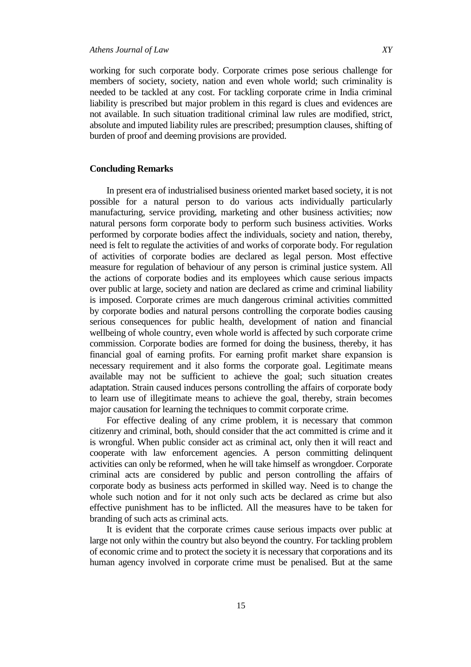working for such corporate body. Corporate crimes pose serious challenge for members of society, society, nation and even whole world; such criminality is needed to be tackled at any cost. For tackling corporate crime in India criminal liability is prescribed but major problem in this regard is clues and evidences are not available. In such situation traditional criminal law rules are modified, strict, absolute and imputed liability rules are prescribed; presumption clauses, shifting of burden of proof and deeming provisions are provided.

# **Concluding Remarks**

In present era of industrialised business oriented market based society, it is not possible for a natural person to do various acts individually particularly manufacturing, service providing, marketing and other business activities; now natural persons form corporate body to perform such business activities. Works performed by corporate bodies affect the individuals, society and nation, thereby, need is felt to regulate the activities of and works of corporate body. For regulation of activities of corporate bodies are declared as legal person. Most effective measure for regulation of behaviour of any person is criminal justice system. All the actions of corporate bodies and its employees which cause serious impacts over public at large, society and nation are declared as crime and criminal liability is imposed. Corporate crimes are much dangerous criminal activities committed by corporate bodies and natural persons controlling the corporate bodies causing serious consequences for public health, development of nation and financial wellbeing of whole country, even whole world is affected by such corporate crime commission. Corporate bodies are formed for doing the business, thereby, it has financial goal of earning profits. For earning profit market share expansion is necessary requirement and it also forms the corporate goal. Legitimate means available may not be sufficient to achieve the goal; such situation creates adaptation. Strain caused induces persons controlling the affairs of corporate body to learn use of illegitimate means to achieve the goal, thereby, strain becomes major causation for learning the techniques to commit corporate crime.

For effective dealing of any crime problem, it is necessary that common citizenry and criminal, both, should consider that the act committed is crime and it is wrongful. When public consider act as criminal act, only then it will react and cooperate with law enforcement agencies. A person committing delinquent activities can only be reformed, when he will take himself as wrongdoer. Corporate criminal acts are considered by public and person controlling the affairs of corporate body as business acts performed in skilled way. Need is to change the whole such notion and for it not only such acts be declared as crime but also effective punishment has to be inflicted. All the measures have to be taken for branding of such acts as criminal acts.

It is evident that the corporate crimes cause serious impacts over public at large not only within the country but also beyond the country. For tackling problem of economic crime and to protect the society it is necessary that corporations and its human agency involved in corporate crime must be penalised. But at the same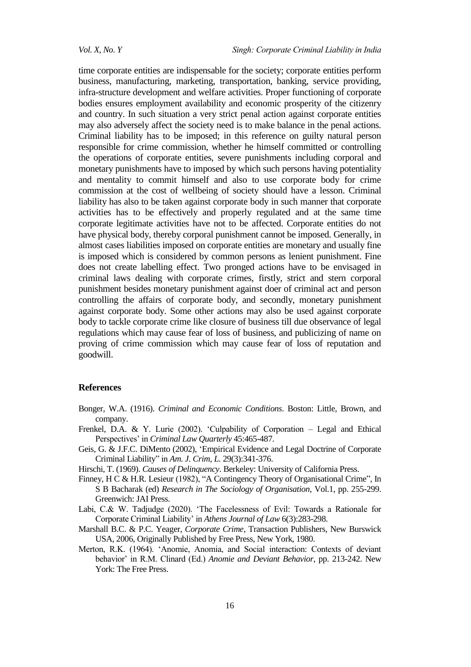time corporate entities are indispensable for the society; corporate entities perform business, manufacturing, marketing, transportation, banking, service providing, infra-structure development and welfare activities. Proper functioning of corporate bodies ensures employment availability and economic prosperity of the citizenry and country. In such situation a very strict penal action against corporate entities may also adversely affect the society need is to make balance in the penal actions. Criminal liability has to be imposed; in this reference on guilty natural person responsible for crime commission, whether he himself committed or controlling the operations of corporate entities, severe punishments including corporal and monetary punishments have to imposed by which such persons having potentiality and mentality to commit himself and also to use corporate body for crime commission at the cost of wellbeing of society should have a lesson. Criminal liability has also to be taken against corporate body in such manner that corporate activities has to be effectively and properly regulated and at the same time corporate legitimate activities have not to be affected. Corporate entities do not have physical body, thereby corporal punishment cannot be imposed. Generally, in almost cases liabilities imposed on corporate entities are monetary and usually fine is imposed which is considered by common persons as lenient punishment. Fine does not create labelling effect. Two pronged actions have to be envisaged in criminal laws dealing with corporate crimes, firstly, strict and stern corporal punishment besides monetary punishment against doer of criminal act and person controlling the affairs of corporate body, and secondly, monetary punishment against corporate body. Some other actions may also be used against corporate body to tackle corporate crime like closure of business till due observance of legal regulations which may cause fear of loss of business, and publicizing of name on proving of crime commission which may cause fear of loss of reputation and goodwill.

#### **References**

- Bonger, W.A. (1916). *Criminal and Economic Conditions*. Boston: Little, Brown, and company.
- Frenkel, D.A. & Y. Lurie (2002). 'Culpability of Corporation  $-$  Legal and Ethical Perspectives" in *Criminal Law Quarterly* 45:465-487.
- Geis, G. & J.F.C. DiMento (2002), "Empirical Evidence and Legal Doctrine of Corporate Criminal Liability" in *Am. J. Crim, L.* 29(3):341-376.
- Hirschi, T. (1969). *Causes of Delinquency*. Berkeley: University of California Press.
- Finney, H C & H.R. Lesieur (1982), "A Contingency Theory of Organisational Crime", In S B Bacharak (ed) *Research in The Sociology of Organisation*, Vol.1, pp. 255-299. Greenwich: JAI Press.
- Labi, C.& W. Tadjudge (2020). "The Facelessness of Evil: Towards a Rationale for Corporate Criminal Liability" in *Athens Journal of Law* 6(3):283-298.
- Marshall B.C. & P.C. Yeager, *Corporate Crime*, Transaction Publishers, New Burswick USA, 2006, Originally Published by Free Press, New York, 1980.
- Merton, R.K. (1964). "Anomie, Anomia, and Social interaction: Contexts of deviant behavior" in R.M. Clinard (Ed.) *Anomie and Deviant Behavior*, pp. 213-242. New York: The Free Press.